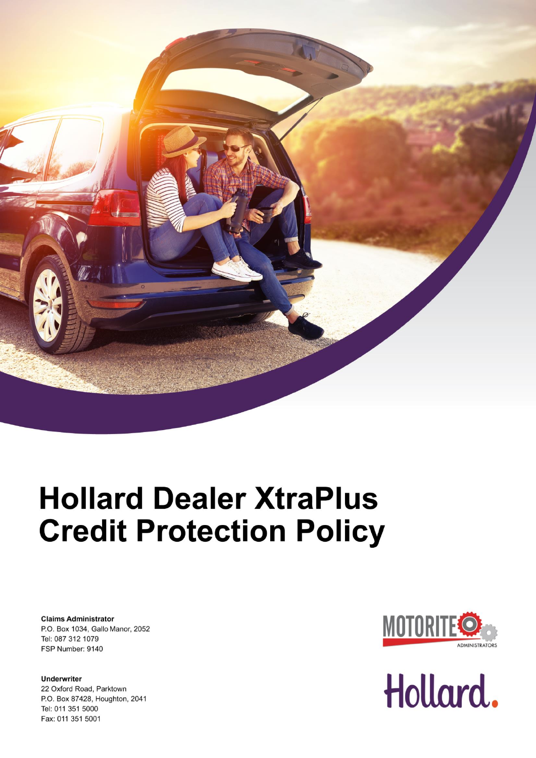

# **Hollard Dealer XtraPlus Credit Protection Policy**

**Claims Administrator** P.O. Box 1034, Gallo Manor, 2052 Tel: 087 312 1079 FSP Number: 9140

**Underwriter** 22 Oxford Road, Parktown P.O. Box 87428, Houghton, 2041 Tel: 011 351 5000 Fax: 011 351 5001



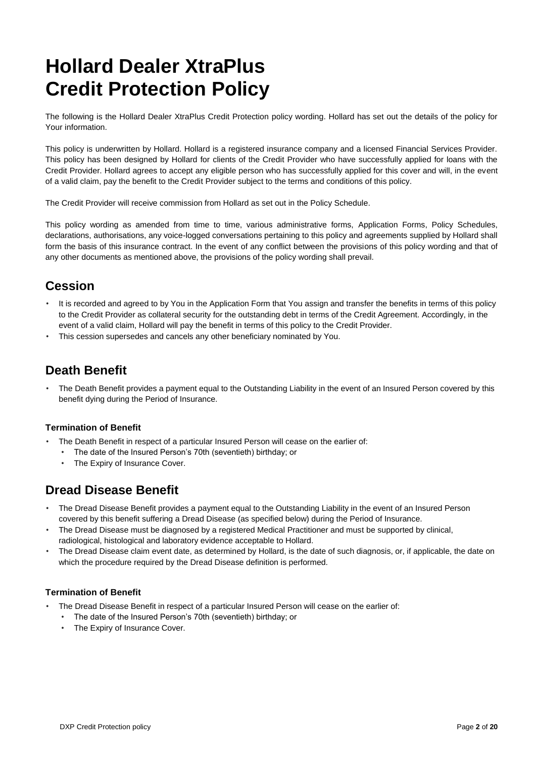## **Hollard Dealer XtraPlus Credit Protection Policy**

The following is the Hollard Dealer XtraPlus Credit Protection policy wording. Hollard has set out the details of the policy for Your information.

This policy is underwritten by Hollard. Hollard is a registered insurance company and a licensed Financial Services Provider. This policy has been designed by Hollard for clients of the Credit Provider who have successfully applied for loans with the Credit Provider. Hollard agrees to accept any eligible person who has successfully applied for this cover and will, in the event of a valid claim, pay the benefit to the Credit Provider subject to the terms and conditions of this policy.

The Credit Provider will receive commission from Hollard as set out in the Policy Schedule.

This policy wording as amended from time to time, various administrative forms, Application Forms, Policy Schedules, declarations, authorisations, any voice-logged conversations pertaining to this policy and agreements supplied by Hollard shall form the basis of this insurance contract. In the event of any conflict between the provisions of this policy wording and that of any other documents as mentioned above, the provisions of the policy wording shall prevail.

### **Cession**

- It is recorded and agreed to by You in the Application Form that You assign and transfer the benefits in terms of this policy to the Credit Provider as collateral security for the outstanding debt in terms of the Credit Agreement. Accordingly, in the event of a valid claim, Hollard will pay the benefit in terms of this policy to the Credit Provider.
- This cession supersedes and cancels any other beneficiary nominated by You.

### **Death Benefit**

• The Death Benefit provides a payment equal to the Outstanding Liability in the event of an Insured Person covered by this benefit dying during the Period of Insurance.

#### **Termination of Benefit**

- The Death Benefit in respect of a particular Insured Person will cease on the earlier of:
	- The date of the Insured Person's 70th (seventieth) birthday; or
	- The Expiry of Insurance Cover.

### **Dread Disease Benefit**

- The Dread Disease Benefit provides a payment equal to the Outstanding Liability in the event of an Insured Person covered by this benefit suffering a Dread Disease (as specified below) during the Period of Insurance.
- The Dread Disease must be diagnosed by a registered Medical Practitioner and must be supported by clinical, radiological, histological and laboratory evidence acceptable to Hollard.
- The Dread Disease claim event date, as determined by Hollard, is the date of such diagnosis, or, if applicable, the date on which the procedure required by the Dread Disease definition is performed.

#### **Termination of Benefit**

- The Dread Disease Benefit in respect of a particular Insured Person will cease on the earlier of:
	- The date of the Insured Person's 70th (seventieth) birthday; or
	- The Expiry of Insurance Cover.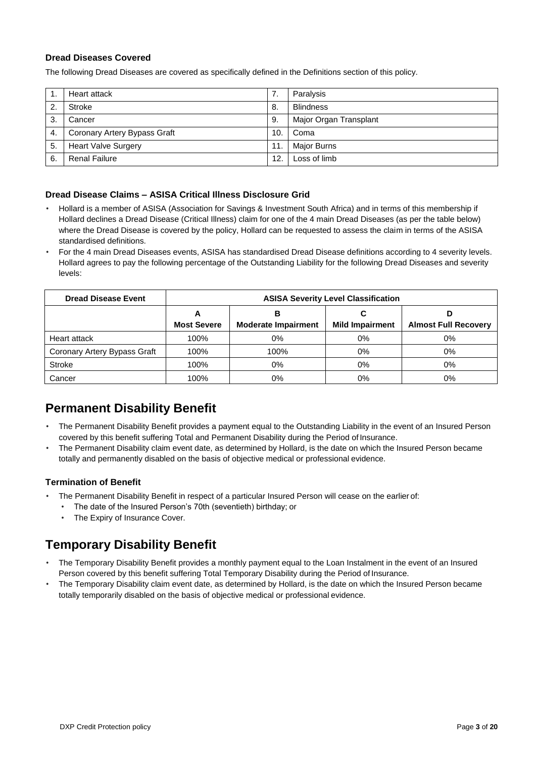#### **Dread Diseases Covered**

The following Dread Diseases are covered as specifically defined in the Definitions section of this policy.

|                  | Heart attack                 |     | Paralysis              |
|------------------|------------------------------|-----|------------------------|
| $\overline{2}$ . | Stroke                       | -8. | <b>Blindness</b>       |
| 3.               | Cancer                       | 9.  | Major Organ Transplant |
| 4.               | Coronary Artery Bypass Graft | 10. | Coma                   |
| -5.              | <b>Heart Valve Surgery</b>   | 11. | <b>Major Burns</b>     |
| 6.               | <b>Renal Failure</b>         | 12. | Loss of limb           |

#### **Dread Disease Claims – ASISA Critical Illness Disclosure Grid**

- Hollard is a member of ASISA (Association for Savings & Investment South Africa) and in terms of this membership if Hollard declines a Dread Disease (Critical Illness) claim for one of the 4 main Dread Diseases (as per the table below) where the Dread Disease is covered by the policy, Hollard can be requested to assess the claim in terms of the ASISA standardised definitions.
- For the 4 main Dread Diseases events, ASISA has standardised Dread Disease definitions according to 4 severity levels. Hollard agrees to pay the following percentage of the Outstanding Liability for the following Dread Diseases and severity levels:

| <b>Dread Disease Event</b>   | <b>ASISA Severity Level Classification</b> |                                 |                        |                             |
|------------------------------|--------------------------------------------|---------------------------------|------------------------|-----------------------------|
|                              | Α<br><b>Most Severe</b>                    | в<br><b>Moderate Impairment</b> | <b>Mild Impairment</b> | <b>Almost Full Recovery</b> |
| Heart attack                 | 100%                                       | 0%                              | 0%                     | 0%                          |
| Coronary Artery Bypass Graft | 100%                                       | 100%                            | $0\%$                  | 0%                          |
| Stroke                       | 100%                                       | 0%                              | 0%                     | 0%                          |
| Cancer                       | 100%                                       | 0%                              | 0%                     | 0%                          |

### **Permanent Disability Benefit**

- The Permanent Disability Benefit provides a payment equal to the Outstanding Liability in the event of an Insured Person covered by this benefit suffering Total and Permanent Disability during the Period of Insurance.
- The Permanent Disability claim event date, as determined by Hollard, is the date on which the Insured Person became totally and permanently disabled on the basis of objective medical or professional evidence.

#### **Termination of Benefit**

- The Permanent Disability Benefit in respect of a particular Insured Person will cease on the earlier of:
	- The date of the Insured Person's 70th (seventieth) birthday; or
	- The Expiry of Insurance Cover.

### **Temporary Disability Benefit**

- The Temporary Disability Benefit provides a monthly payment equal to the Loan Instalment in the event of an Insured Person covered by this benefit suffering Total Temporary Disability during the Period of Insurance.
- The Temporary Disability claim event date, as determined by Hollard, is the date on which the Insured Person became totally temporarily disabled on the basis of objective medical or professional evidence.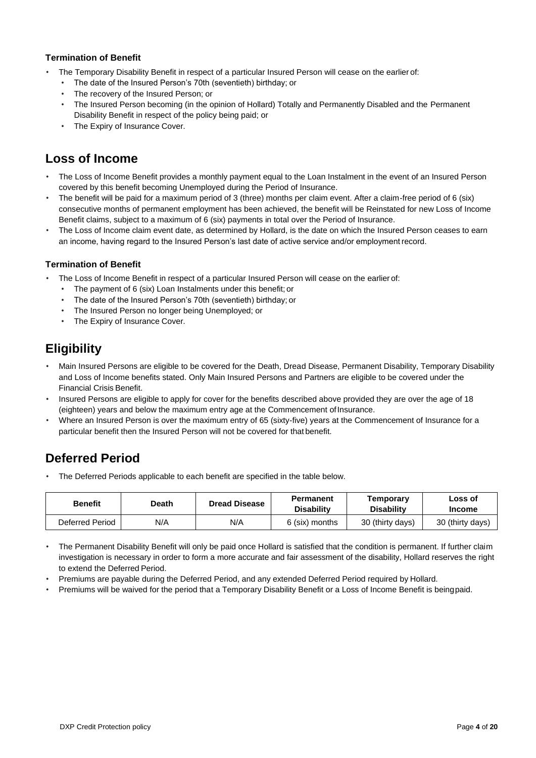#### **Termination of Benefit**

- The Temporary Disability Benefit in respect of a particular Insured Person will cease on the earlier of:
	- The date of the Insured Person's 70th (seventieth) birthday; or
	- The recovery of the Insured Person; or
	- The Insured Person becoming (in the opinion of Hollard) Totally and Permanently Disabled and the Permanent Disability Benefit in respect of the policy being paid; or
	- The Expiry of Insurance Cover.

### **Loss of Income**

- The Loss of Income Benefit provides a monthly payment equal to the Loan Instalment in the event of an Insured Person covered by this benefit becoming Unemployed during the Period of Insurance.
- The benefit will be paid for a maximum period of 3 (three) months per claim event. After a claim-free period of 6 (six) consecutive months of permanent employment has been achieved, the benefit will be Reinstated for new Loss of Income Benefit claims, subject to a maximum of 6 (six) payments in total over the Period of Insurance.
- The Loss of Income claim event date, as determined by Hollard, is the date on which the Insured Person ceases to earn an income, having regard to the Insured Person's last date of active service and/or employment record.

#### **Termination of Benefit**

- The Loss of Income Benefit in respect of a particular Insured Person will cease on the earlier of:
	- The payment of 6 (six) Loan Instalments under this benefit; or
	- The date of the Insured Person's 70th (seventieth) birthday; or
	- The Insured Person no longer being Unemployed; or
	- The Expiry of Insurance Cover.

### **Eligibility**

- Main Insured Persons are eligible to be covered for the Death, Dread Disease, Permanent Disability, Temporary Disability and Loss of Income benefits stated. Only Main Insured Persons and Partners are eligible to be covered under the Financial Crisis Benefit.
- Insured Persons are eligible to apply for cover for the benefits described above provided they are over the age of 18 (eighteen) years and below the maximum entry age at the Commencement of Insurance.
- Where an Insured Person is over the maximum entry of 65 (sixty-five) years at the Commencement of Insurance for a particular benefit then the Insured Person will not be covered for that benefit.

### **Deferred Period**

• The Deferred Periods applicable to each benefit are specified in the table below.

| <b>Benefit</b>  | Death | <b>Dread Disease</b> | Permanent<br><b>Disability</b> | Temporary<br><b>Disability</b> | Loss of<br><b>Income</b> |
|-----------------|-------|----------------------|--------------------------------|--------------------------------|--------------------------|
| Deferred Period | N/A   | N/A                  | 6 (six) months                 | 30 (thirty days)               | 30 (thirty days)         |

- The Permanent Disability Benefit will only be paid once Hollard is satisfied that the condition is permanent. If further claim investigation is necessary in order to form a more accurate and fair assessment of the disability, Hollard reserves the right to extend the Deferred Period.
- Premiums are payable during the Deferred Period, and any extended Deferred Period required by Hollard.
- Premiums will be waived for the period that a Temporary Disability Benefit or a Loss of Income Benefit is beingpaid.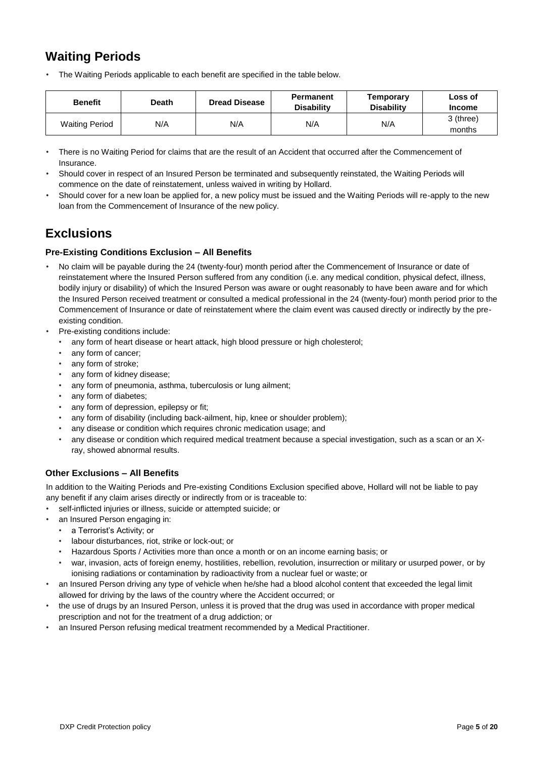### **Waiting Periods**

• The Waiting Periods applicable to each benefit are specified in the table below.

| <b>Benefit</b>        | Death | <b>Dread Disease</b> | Permanent<br><b>Disability</b> | Temporary<br><b>Disability</b> | Loss of<br><b>Income</b> |
|-----------------------|-------|----------------------|--------------------------------|--------------------------------|--------------------------|
| <b>Waiting Period</b> | N/A   | N/A                  | N/A                            | N/A                            | 3 (three)<br>months      |

- There is no Waiting Period for claims that are the result of an Accident that occurred after the Commencement of Insurance.
- Should cover in respect of an Insured Person be terminated and subsequently reinstated, the Waiting Periods will commence on the date of reinstatement, unless waived in writing by Hollard.
- Should cover for a new loan be applied for, a new policy must be issued and the Waiting Periods will re-apply to the new loan from the Commencement of Insurance of the new policy.

### **Exclusions**

#### **Pre-Existing Conditions Exclusion – All Benefits**

- No claim will be payable during the 24 (twenty-four) month period after the Commencement of Insurance or date of reinstatement where the Insured Person suffered from any condition (i.e. any medical condition, physical defect, illness, bodily injury or disability) of which the Insured Person was aware or ought reasonably to have been aware and for which the Insured Person received treatment or consulted a medical professional in the 24 (twenty-four) month period prior to the Commencement of Insurance or date of reinstatement where the claim event was caused directly or indirectly by the preexisting condition.
- Pre-existing conditions include:
	- any form of heart disease or heart attack, high blood pressure or high cholesterol;
	- any form of cancer;
	- any form of stroke;
	- any form of kidney disease;
	- any form of pneumonia, asthma, tuberculosis or lung ailment;
	- any form of diabetes;
	- any form of depression, epilepsy or fit;
	- any form of disability (including back-ailment, hip, knee or shoulder problem);
	- any disease or condition which requires chronic medication usage; and
	- any disease or condition which required medical treatment because a special investigation, such as a scan or an Xray, showed abnormal results.

#### **Other Exclusions – All Benefits**

In addition to the Waiting Periods and Pre-existing Conditions Exclusion specified above, Hollard will not be liable to pay any benefit if any claim arises directly or indirectly from or is traceable to:

- self-inflicted injuries or illness, suicide or attempted suicide; or
	- an Insured Person engaging in:
	- a Terrorist's Activity; or
	- labour disturbances, riot, strike or lock-out; or
	- Hazardous Sports / Activities more than once a month or on an income earning basis; or
	- war, invasion, acts of foreign enemy, hostilities, rebellion, revolution, insurrection or military or usurped power, or by ionising radiations or contamination by radioactivity from a nuclear fuel or waste; or
- an Insured Person driving any type of vehicle when he/she had a blood alcohol content that exceeded the legal limit allowed for driving by the laws of the country where the Accident occurred; or
- the use of drugs by an Insured Person, unless it is proved that the drug was used in accordance with proper medical prescription and not for the treatment of a drug addiction; or
- an Insured Person refusing medical treatment recommended by a Medical Practitioner.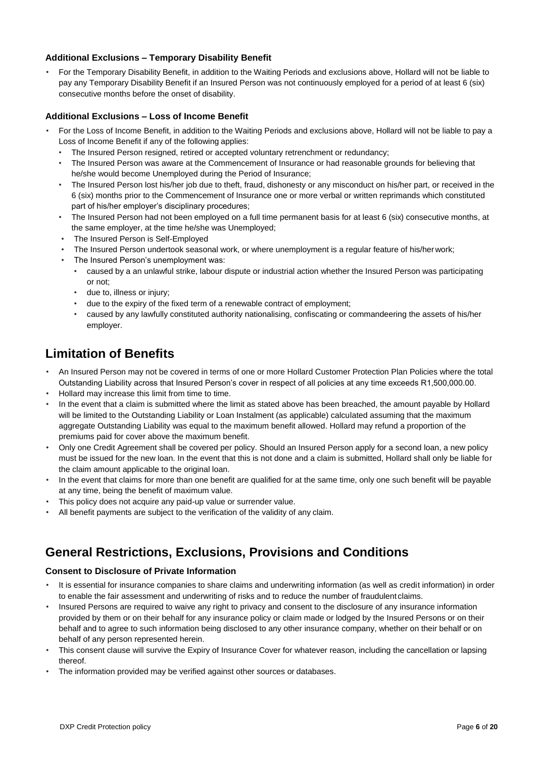#### **Additional Exclusions – Temporary Disability Benefit**

• For the Temporary Disability Benefit, in addition to the Waiting Periods and exclusions above, Hollard will not be liable to pay any Temporary Disability Benefit if an Insured Person was not continuously employed for a period of at least 6 (six) consecutive months before the onset of disability.

#### **Additional Exclusions – Loss of Income Benefit**

- For the Loss of Income Benefit, in addition to the Waiting Periods and exclusions above, Hollard will not be liable to pay a Loss of Income Benefit if any of the following applies:
	- The Insured Person resigned, retired or accepted voluntary retrenchment or redundancy;
	- The Insured Person was aware at the Commencement of Insurance or had reasonable grounds for believing that he/she would become Unemployed during the Period of Insurance;
	- The Insured Person lost his/her job due to theft, fraud, dishonesty or any misconduct on his/her part, or received in the 6 (six) months prior to the Commencement of Insurance one or more verbal or written reprimands which constituted part of his/her employer's disciplinary procedures;
	- The Insured Person had not been employed on a full time permanent basis for at least 6 (six) consecutive months, at the same employer, at the time he/she was Unemployed;
	- The Insured Person is Self-Employed
	- The Insured Person undertook seasonal work, or where unemployment is a regular feature of his/her work;
	- The Insured Person's unemployment was:
		- caused by a an unlawful strike, labour dispute or industrial action whether the Insured Person was participating or not;
		- due to, illness or injury;
		- due to the expiry of the fixed term of a renewable contract of employment;
		- caused by any lawfully constituted authority nationalising, confiscating or commandeering the assets of his/her employer.

### **Limitation of Benefits**

- An Insured Person may not be covered in terms of one or more Hollard Customer Protection Plan Policies where the total Outstanding Liability across that Insured Person's cover in respect of all policies at any time exceeds R1,500,000.00.
- Hollard may increase this limit from time to time.
- In the event that a claim is submitted where the limit as stated above has been breached, the amount payable by Hollard will be limited to the Outstanding Liability or Loan Instalment (as applicable) calculated assuming that the maximum aggregate Outstanding Liability was equal to the maximum benefit allowed. Hollard may refund a proportion of the premiums paid for cover above the maximum benefit.
- Only one Credit Agreement shall be covered per policy. Should an Insured Person apply for a second loan, a new policy must be issued for the new loan. In the event that this is not done and a claim is submitted, Hollard shall only be liable for the claim amount applicable to the original loan.
- In the event that claims for more than one benefit are qualified for at the same time, only one such benefit will be payable at any time, being the benefit of maximum value.
- This policy does not acquire any paid-up value or surrender value.
- All benefit payments are subject to the verification of the validity of any claim.

### **General Restrictions, Exclusions, Provisions and Conditions**

#### **Consent to Disclosure of Private Information**

- It is essential for insurance companies to share claims and underwriting information (as well as credit information) in order to enable the fair assessment and underwriting of risks and to reduce the number of fraudulent claims.
- Insured Persons are required to waive any right to privacy and consent to the disclosure of any insurance information provided by them or on their behalf for any insurance policy or claim made or lodged by the Insured Persons or on their behalf and to agree to such information being disclosed to any other insurance company, whether on their behalf or on behalf of any person represented herein.
- This consent clause will survive the Expiry of Insurance Cover for whatever reason, including the cancellation or lapsing thereof.
- The information provided may be verified against other sources or databases.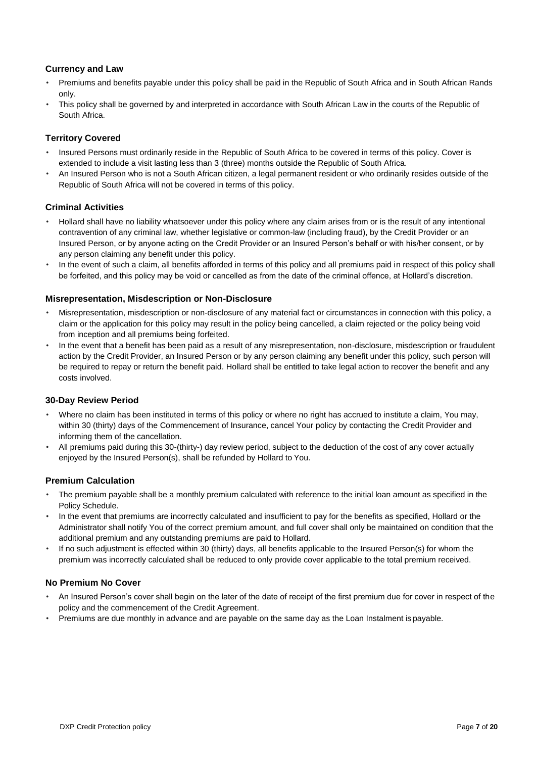#### **Currency and Law**

- Premiums and benefits payable under this policy shall be paid in the Republic of South Africa and in South African Rands only.
- This policy shall be governed by and interpreted in accordance with South African Law in the courts of the Republic of South Africa.

#### **Territory Covered**

- Insured Persons must ordinarily reside in the Republic of South Africa to be covered in terms of this policy. Cover is extended to include a visit lasting less than 3 (three) months outside the Republic of South Africa.
- An Insured Person who is not a South African citizen, a legal permanent resident or who ordinarily resides outside of the Republic of South Africa will not be covered in terms of this policy.

#### **Criminal Activities**

- Hollard shall have no liability whatsoever under this policy where any claim arises from or is the result of any intentional contravention of any criminal law, whether legislative or common-law (including fraud), by the Credit Provider or an Insured Person, or by anyone acting on the Credit Provider or an Insured Person's behalf or with his/her consent, or by any person claiming any benefit under this policy.
- In the event of such a claim, all benefits afforded in terms of this policy and all premiums paid in respect of this policy shall be forfeited, and this policy may be void or cancelled as from the date of the criminal offence, at Hollard's discretion.

#### **Misrepresentation, Misdescription or Non-Disclosure**

- Misrepresentation, misdescription or non-disclosure of any material fact or circumstances in connection with this policy, a claim or the application for this policy may result in the policy being cancelled, a claim rejected or the policy being void from inception and all premiums being forfeited.
- In the event that a benefit has been paid as a result of any misrepresentation, non-disclosure, misdescription or fraudulent action by the Credit Provider, an Insured Person or by any person claiming any benefit under this policy, such person will be required to repay or return the benefit paid. Hollard shall be entitled to take legal action to recover the benefit and any costs involved.

#### **30-Day Review Period**

- Where no claim has been instituted in terms of this policy or where no right has accrued to institute a claim, You may, within 30 (thirty) days of the Commencement of Insurance, cancel Your policy by contacting the Credit Provider and informing them of the cancellation.
- All premiums paid during this 30-(thirty-) day review period, subject to the deduction of the cost of any cover actually enjoyed by the Insured Person(s), shall be refunded by Hollard to You.

#### **Premium Calculation**

- The premium payable shall be a monthly premium calculated with reference to the initial loan amount as specified in the Policy Schedule.
- In the event that premiums are incorrectly calculated and insufficient to pay for the benefits as specified, Hollard or the Administrator shall notify You of the correct premium amount, and full cover shall only be maintained on condition that the additional premium and any outstanding premiums are paid to Hollard.
- If no such adjustment is effected within 30 (thirty) days, all benefits applicable to the Insured Person(s) for whom the premium was incorrectly calculated shall be reduced to only provide cover applicable to the total premium received.

#### **No Premium No Cover**

- An Insured Person's cover shall begin on the later of the date of receipt of the first premium due for cover in respect of the policy and the commencement of the Credit Agreement.
- Premiums are due monthly in advance and are payable on the same day as the Loan Instalment is payable.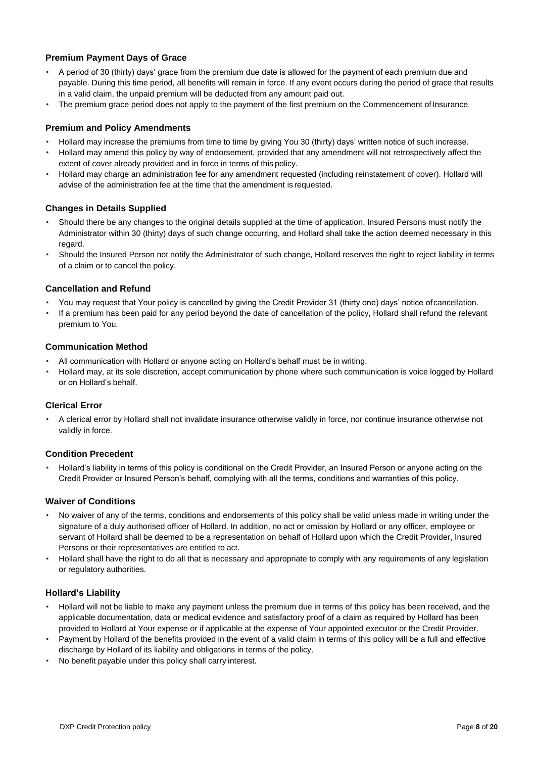#### **Premium Payment Days of Grace**

- A period of 30 (thirty) days' grace from the premium due date is allowed for the payment of each premium due and payable. During this time period, all benefits will remain in force. If any event occurs during the period of grace that results in a valid claim, the unpaid premium will be deducted from any amount paid out.
- The premium grace period does not apply to the payment of the first premium on the Commencement of Insurance.

#### **Premium and Policy Amendments**

- Hollard may increase the premiums from time to time by giving You 30 (thirty) days' written notice of such increase.
- Hollard may amend this policy by way of endorsement, provided that any amendment will not retrospectively affect the extent of cover already provided and in force in terms of this policy.
- Hollard may charge an administration fee for any amendment requested (including reinstatement of cover). Hollard will advise of the administration fee at the time that the amendment is requested.

#### **Changes in Details Supplied**

- Should there be any changes to the original details supplied at the time of application, Insured Persons must notify the Administrator within 30 (thirty) days of such change occurring, and Hollard shall take the action deemed necessary in this regard.
- Should the Insured Person not notify the Administrator of such change, Hollard reserves the right to reject liability in terms of a claim or to cancel the policy.

#### **Cancellation and Refund**

- You may request that Your policy is cancelled by giving the Credit Provider 31 (thirty one) days' notice ofcancellation.
- If a premium has been paid for any period beyond the date of cancellation of the policy, Hollard shall refund the relevant premium to You.

#### **Communication Method**

- All communication with Hollard or anyone acting on Hollard's behalf must be in writing.
- Hollard may, at its sole discretion, accept communication by phone where such communication is voice logged by Hollard or on Hollard's behalf.

#### **Clerical Error**

• A clerical error by Hollard shall not invalidate insurance otherwise validly in force, nor continue insurance otherwise not validly in force.

#### **Condition Precedent**

• Hollard's liability in terms of this policy is conditional on the Credit Provider, an Insured Person or anyone acting on the Credit Provider or Insured Person's behalf, complying with all the terms, conditions and warranties of this policy.

#### **Waiver of Conditions**

- No waiver of any of the terms, conditions and endorsements of this policy shall be valid unless made in writing under the signature of a duly authorised officer of Hollard. In addition, no act or omission by Hollard or any officer, employee or servant of Hollard shall be deemed to be a representation on behalf of Hollard upon which the Credit Provider, Insured Persons or their representatives are entitled to act.
- Hollard shall have the right to do all that is necessary and appropriate to comply with any requirements of any legislation or regulatory authorities.

#### **Hollard's Liability**

- Hollard will not be liable to make any payment unless the premium due in terms of this policy has been received, and the applicable documentation, data or medical evidence and satisfactory proof of a claim as required by Hollard has been provided to Hollard at Your expense or if applicable at the expense of Your appointed executor or the Credit Provider.
- Payment by Hollard of the benefits provided in the event of a valid claim in terms of this policy will be a full and effective discharge by Hollard of its liability and obligations in terms of the policy.
- No benefit payable under this policy shall carry interest.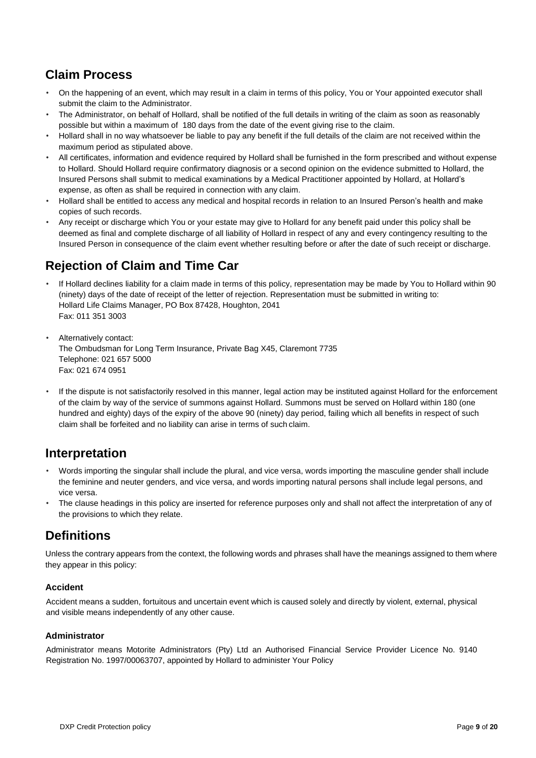### **Claim Process**

- On the happening of an event, which may result in a claim in terms of this policy, You or Your appointed executor shall submit the claim to the Administrator.
- The Administrator, on behalf of Hollard, shall be notified of the full details in writing of the claim as soon as reasonably possible but within a maximum of 180 days from the date of the event giving rise to the claim.
- Hollard shall in no way whatsoever be liable to pay any benefit if the full details of the claim are not received within the maximum period as stipulated above.
- All certificates, information and evidence required by Hollard shall be furnished in the form prescribed and without expense to Hollard. Should Hollard require confirmatory diagnosis or a second opinion on the evidence submitted to Hollard, the Insured Persons shall submit to medical examinations by a Medical Practitioner appointed by Hollard, at Hollard's expense, as often as shall be required in connection with any claim.
- Hollard shall be entitled to access any medical and hospital records in relation to an Insured Person's health and make copies of such records.
- Any receipt or discharge which You or your estate may give to Hollard for any benefit paid under this policy shall be deemed as final and complete discharge of all liability of Hollard in respect of any and every contingency resulting to the Insured Person in consequence of the claim event whether resulting before or after the date of such receipt or discharge.

### **Rejection of Claim and Time Car**

- If Hollard declines liability for a claim made in terms of this policy, representation may be made by You to Hollard within 90 (ninety) days of the date of receipt of the letter of rejection. Representation must be submitted in writing to: Hollard Life Claims Manager, PO Box 87428, Houghton, 2041 Fax: 011 351 3003
- Alternatively contact: The Ombudsman for Long Term Insurance, Private Bag X45, Claremont 7735 Telephone: 021 657 5000 Fax: 021 674 0951
- If the dispute is not satisfactorily resolved in this manner, legal action may be instituted against Hollard for the enforcement of the claim by way of the service of summons against Hollard. Summons must be served on Hollard within 180 (one hundred and eighty) days of the expiry of the above 90 (ninety) day period, failing which all benefits in respect of such claim shall be forfeited and no liability can arise in terms of such claim.

### **Interpretation**

- Words importing the singular shall include the plural, and vice versa, words importing the masculine gender shall include the feminine and neuter genders, and vice versa, and words importing natural persons shall include legal persons, and vice versa.
- The clause headings in this policy are inserted for reference purposes only and shall not affect the interpretation of any of the provisions to which they relate.

### **Definitions**

Unless the contrary appears from the context, the following words and phrases shall have the meanings assigned to them where they appear in this policy:

#### **Accident**

Accident means a sudden, fortuitous and uncertain event which is caused solely and directly by violent, external, physical and visible means independently of any other cause.

#### **Administrator**

Administrator means Motorite Administrators (Pty) Ltd an Authorised Financial Service Provider Licence No. 9140 Registration No. 1997/00063707, appointed by Hollard to administer Your Policy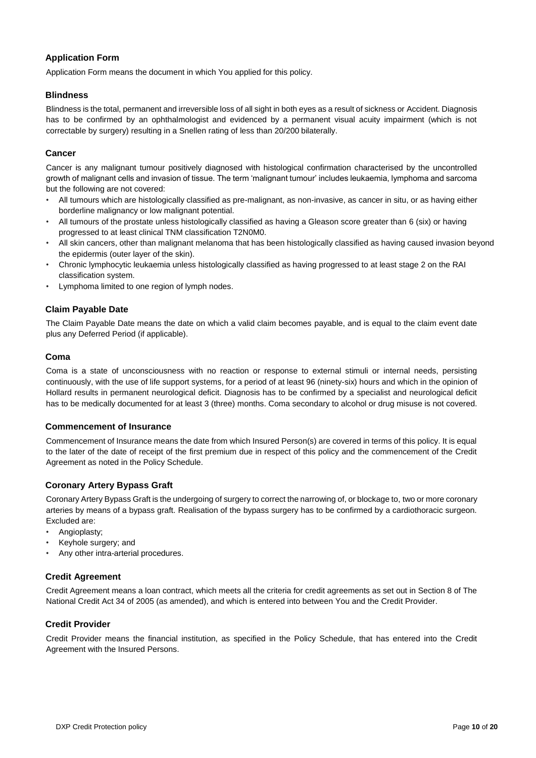#### **Application Form**

Application Form means the document in which You applied for this policy.

#### **Blindness**

Blindness is the total, permanent and irreversible loss of all sight in both eyes as a result of sickness or Accident. Diagnosis has to be confirmed by an ophthalmologist and evidenced by a permanent visual acuity impairment (which is not correctable by surgery) resulting in a Snellen rating of less than 20/200 bilaterally.

#### **Cancer**

Cancer is any malignant tumour positively diagnosed with histological confirmation characterised by the uncontrolled growth of malignant cells and invasion of tissue. The term 'malignant tumour' includes leukaemia, lymphoma and sarcoma but the following are not covered:

- All tumours which are histologically classified as pre-malignant, as non-invasive, as cancer in situ, or as having either borderline malignancy or low malignant potential.
- All tumours of the prostate unless histologically classified as having a Gleason score greater than 6 (six) or having progressed to at least clinical TNM classification T2N0M0.
- All skin cancers, other than malignant melanoma that has been histologically classified as having caused invasion beyond the epidermis (outer layer of the skin).
- Chronic lymphocytic leukaemia unless histologically classified as having progressed to at least stage 2 on the RAI classification system.
- Lymphoma limited to one region of lymph nodes.

#### **Claim Payable Date**

The Claim Payable Date means the date on which a valid claim becomes payable, and is equal to the claim event date plus any Deferred Period (if applicable).

#### **Coma**

Coma is a state of unconsciousness with no reaction or response to external stimuli or internal needs, persisting continuously, with the use of life support systems, for a period of at least 96 (ninety-six) hours and which in the opinion of Hollard results in permanent neurological deficit. Diagnosis has to be confirmed by a specialist and neurological deficit has to be medically documented for at least 3 (three) months. Coma secondary to alcohol or drug misuse is not covered.

#### **Commencement of Insurance**

Commencement of Insurance means the date from which Insured Person(s) are covered in terms of this policy. It is equal to the later of the date of receipt of the first premium due in respect of this policy and the commencement of the Credit Agreement as noted in the Policy Schedule.

#### **Coronary Artery Bypass Graft**

Coronary Artery Bypass Graft is the undergoing of surgery to correct the narrowing of, or blockage to, two or more coronary arteries by means of a bypass graft. Realisation of the bypass surgery has to be confirmed by a cardiothoracic surgeon. Excluded are:

- Angioplasty;
- Keyhole surgery; and
- Any other intra-arterial procedures.

#### **Credit Agreement**

Credit Agreement means a loan contract, which meets all the criteria for credit agreements as set out in Section 8 of The National Credit Act 34 of 2005 (as amended), and which is entered into between You and the Credit Provider.

#### **Credit Provider**

Credit Provider means the financial institution, as specified in the Policy Schedule, that has entered into the Credit Agreement with the Insured Persons.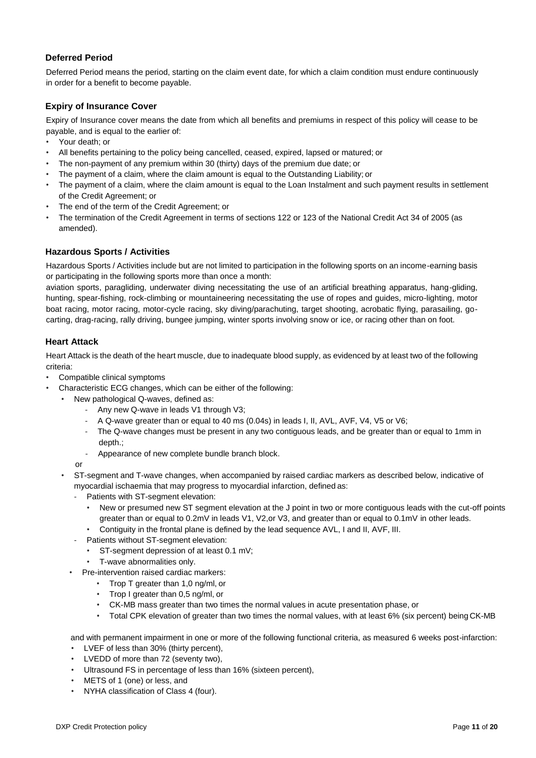#### **Deferred Period**

Deferred Period means the period, starting on the claim event date, for which a claim condition must endure continuously in order for a benefit to become payable.

#### **Expiry of Insurance Cover**

Expiry of Insurance cover means the date from which all benefits and premiums in respect of this policy will cease to be payable, and is equal to the earlier of:

- Your death; or
- All benefits pertaining to the policy being cancelled, ceased, expired, lapsed or matured; or
- The non-payment of any premium within 30 (thirty) days of the premium due date; or
- The payment of a claim, where the claim amount is equal to the Outstanding Liability; or
- The payment of a claim, where the claim amount is equal to the Loan Instalment and such payment results in settlement of the Credit Agreement; or
- The end of the term of the Credit Agreement; or
- The termination of the Credit Agreement in terms of sections 122 or 123 of the National Credit Act 34 of 2005 (as amended).

#### **Hazardous Sports / Activities**

Hazardous Sports / Activities include but are not limited to participation in the following sports on an income-earning basis or participating in the following sports more than once a month:

aviation sports, paragliding, underwater diving necessitating the use of an artificial breathing apparatus, hang-gliding, hunting, spear-fishing, rock-climbing or mountaineering necessitating the use of ropes and guides, micro-lighting, motor boat racing, motor racing, motor-cycle racing, sky diving/parachuting, target shooting, acrobatic flying, parasailing, gocarting, drag-racing, rally driving, bungee jumping, winter sports involving snow or ice, or racing other than on foot.

#### **Heart Attack**

Heart Attack is the death of the heart muscle, due to inadequate blood supply, as evidenced by at least two of the following criteria:

- Compatible clinical symptoms
- Characteristic ECG changes, which can be either of the following:
	- New pathological Q-waves, defined as:
		- Any new Q-wave in leads V1 through V3;
		- A Q-wave greater than or equal to 40 ms (0.04s) in leads I, II, AVL, AVF, V4, V5 or V6;
		- The Q-wave changes must be present in any two contiguous leads, and be greater than or equal to 1mm in depth.;
		- Appearance of new complete bundle branch block.

or

- ST-segment and T-wave changes, when accompanied by raised cardiac markers as described below, indicative of myocardial ischaemia that may progress to myocardial infarction, defined as:
	- Patients with ST-segment elevation:
		- New or presumed new ST segment elevation at the J point in two or more contiguous leads with the cut-off points greater than or equal to 0.2mV in leads V1, V2,or V3, and greater than or equal to 0.1mV in other leads.
		- Contiguity in the frontal plane is defined by the lead sequence AVL, I and II, AVF, III.
		- Patients without ST-segment elevation:
			- ST-segment depression of at least 0.1 mV;
			- T-wave abnormalities only.
	- Pre-intervention raised cardiac markers:
		- Trop T greater than 1,0 ng/ml, or
		- Trop I greater than 0,5 ng/ml, or
		- CK-MB mass greater than two times the normal values in acute presentation phase, or
		- Total CPK elevation of greater than two times the normal values, with at least 6% (six percent) being CK-MB

and with permanent impairment in one or more of the following functional criteria, as measured 6 weeks post-infarction:

- LVEF of less than 30% (thirty percent),
- LVEDD of more than 72 (seventy two),
- Ultrasound FS in percentage of less than 16% (sixteen percent),
- METS of 1 (one) or less, and
- NYHA classification of Class 4 (four).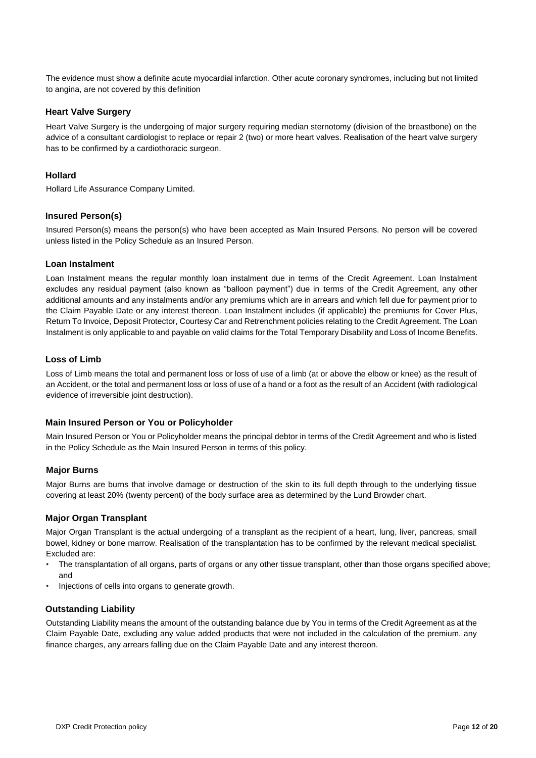The evidence must show a definite acute myocardial infarction. Other acute coronary syndromes, including but not limited to angina, are not covered by this definition

#### **Heart Valve Surgery**

Heart Valve Surgery is the undergoing of major surgery requiring median sternotomy (division of the breastbone) on the advice of a consultant cardiologist to replace or repair 2 (two) or more heart valves. Realisation of the heart valve surgery has to be confirmed by a cardiothoracic surgeon.

#### **Hollard**

Hollard Life Assurance Company Limited.

#### **Insured Person(s)**

Insured Person(s) means the person(s) who have been accepted as Main Insured Persons. No person will be covered unless listed in the Policy Schedule as an Insured Person.

#### **Loan Instalment**

Loan Instalment means the regular monthly loan instalment due in terms of the Credit Agreement. Loan Instalment excludes any residual payment (also known as "balloon payment") due in terms of the Credit Agreement, any other additional amounts and any instalments and/or any premiums which are in arrears and which fell due for payment prior to the Claim Payable Date or any interest thereon. Loan Instalment includes (if applicable) the premiums for Cover Plus, Return To Invoice, Deposit Protector, Courtesy Car and Retrenchment policies relating to the Credit Agreement. The Loan Instalment is only applicable to and payable on valid claims for the Total Temporary Disability and Loss of Income Benefits.

#### **Loss of Limb**

Loss of Limb means the total and permanent loss or loss of use of a limb (at or above the elbow or knee) as the result of an Accident, or the total and permanent loss or loss of use of a hand or a foot as the result of an Accident (with radiological evidence of irreversible joint destruction).

#### **Main Insured Person or You or Policyholder**

Main Insured Person or You or Policyholder means the principal debtor in terms of the Credit Agreement and who is listed in the Policy Schedule as the Main Insured Person in terms of this policy.

#### **Major Burns**

Major Burns are burns that involve damage or destruction of the skin to its full depth through to the underlying tissue covering at least 20% (twenty percent) of the body surface area as determined by the Lund Browder chart.

#### **Major Organ Transplant**

Major Organ Transplant is the actual undergoing of a transplant as the recipient of a heart, lung, liver, pancreas, small bowel, kidney or bone marrow. Realisation of the transplantation has to be confirmed by the relevant medical specialist. Excluded are:

- The transplantation of all organs, parts of organs or any other tissue transplant, other than those organs specified above; and
- Injections of cells into organs to generate growth.

#### **Outstanding Liability**

Outstanding Liability means the amount of the outstanding balance due by You in terms of the Credit Agreement as at the Claim Payable Date, excluding any value added products that were not included in the calculation of the premium, any finance charges, any arrears falling due on the Claim Payable Date and any interest thereon.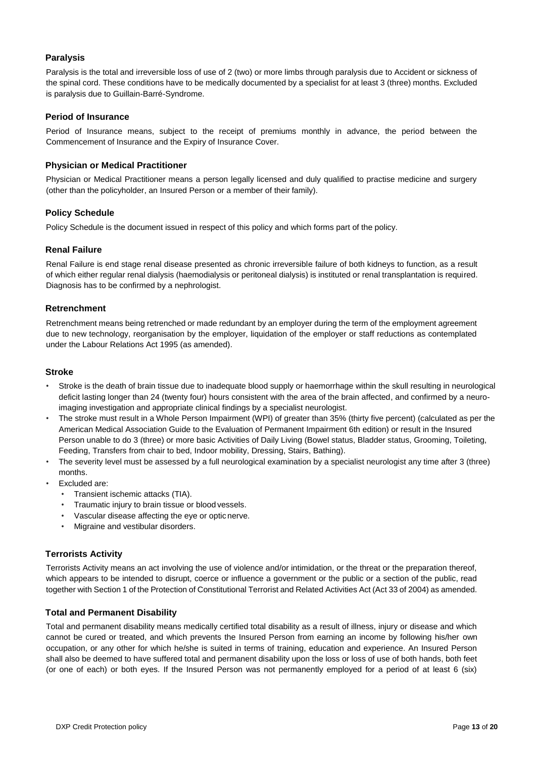#### **Paralysis**

Paralysis is the total and irreversible loss of use of 2 (two) or more limbs through paralysis due to Accident or sickness of the spinal cord. These conditions have to be medically documented by a specialist for at least 3 (three) months. Excluded is paralysis due to Guillain-Barré-Syndrome.

#### **Period of Insurance**

Period of Insurance means, subject to the receipt of premiums monthly in advance, the period between the Commencement of Insurance and the Expiry of Insurance Cover.

#### **Physician or Medical Practitioner**

Physician or Medical Practitioner means a person legally licensed and duly qualified to practise medicine and surgery (other than the policyholder, an Insured Person or a member of their family).

#### **Policy Schedule**

Policy Schedule is the document issued in respect of this policy and which forms part of the policy.

#### **Renal Failure**

Renal Failure is end stage renal disease presented as chronic irreversible failure of both kidneys to function, as a result of which either regular renal dialysis (haemodialysis or peritoneal dialysis) is instituted or renal transplantation is required. Diagnosis has to be confirmed by a nephrologist.

#### **Retrenchment**

Retrenchment means being retrenched or made redundant by an employer during the term of the employment agreement due to new technology, reorganisation by the employer, liquidation of the employer or staff reductions as contemplated under the Labour Relations Act 1995 (as amended).

#### **Stroke**

- Stroke is the death of brain tissue due to inadequate blood supply or haemorrhage within the skull resulting in neurological deficit lasting longer than 24 (twenty four) hours consistent with the area of the brain affected, and confirmed by a neuroimaging investigation and appropriate clinical findings by a specialist neurologist.
- The stroke must result in a Whole Person Impairment (WPI) of greater than 35% (thirty five percent) (calculated as per the American Medical Association Guide to the Evaluation of Permanent Impairment 6th edition) or result in the Insured Person unable to do 3 (three) or more basic Activities of Daily Living (Bowel status, Bladder status, Grooming, Toileting, Feeding, Transfers from chair to bed, Indoor mobility, Dressing, Stairs, Bathing).
- The severity level must be assessed by a full neurological examination by a specialist neurologist any time after 3 (three) months.
- Excluded are:
	- Transient ischemic attacks (TIA).
	- Traumatic injury to brain tissue or blood vessels.
	- Vascular disease affecting the eye or optic nerve.
	- Migraine and vestibular disorders.

#### **Terrorists Activity**

Terrorists Activity means an act involving the use of violence and/or intimidation, or the threat or the preparation thereof, which appears to be intended to disrupt, coerce or influence a government or the public or a section of the public, read together with Section 1 of the Protection of Constitutional Terrorist and Related Activities Act (Act 33 of 2004) as amended.

#### **Total and Permanent Disability**

Total and permanent disability means medically certified total disability as a result of illness, injury or disease and which cannot be cured or treated, and which prevents the Insured Person from earning an income by following his/her own occupation, or any other for which he/she is suited in terms of training, education and experience. An Insured Person shall also be deemed to have suffered total and permanent disability upon the loss or loss of use of both hands, both feet (or one of each) or both eyes. If the Insured Person was not permanently employed for a period of at least 6 (six)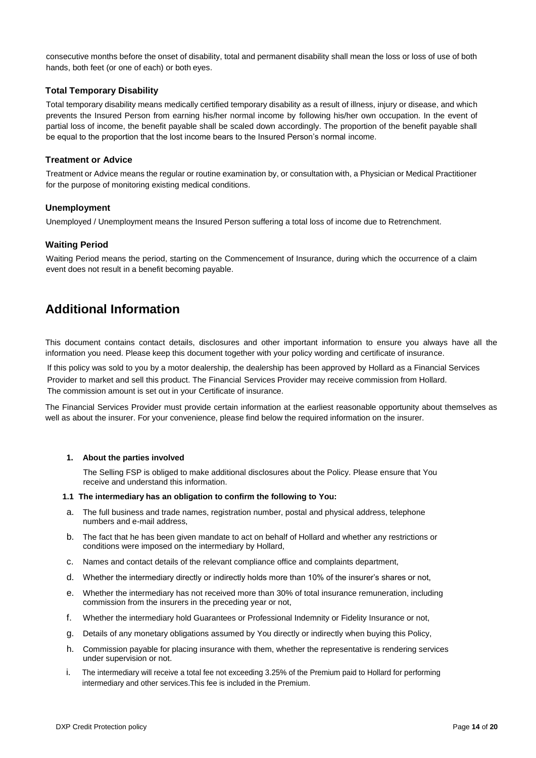consecutive months before the onset of disability, total and permanent disability shall mean the loss or loss of use of both hands, both feet (or one of each) or both eyes.

#### **Total Temporary Disability**

Total temporary disability means medically certified temporary disability as a result of illness, injury or disease, and which prevents the Insured Person from earning his/her normal income by following his/her own occupation. In the event of partial loss of income, the benefit payable shall be scaled down accordingly. The proportion of the benefit payable shall be equal to the proportion that the lost income bears to the Insured Person's normal income.

#### **Treatment or Advice**

Treatment or Advice means the regular or routine examination by, or consultation with, a Physician or Medical Practitioner for the purpose of monitoring existing medical conditions.

#### **Unemployment**

Unemployed / Unemployment means the Insured Person suffering a total loss of income due to Retrenchment.

#### **Waiting Period**

Waiting Period means the period, starting on the Commencement of Insurance, during which the occurrence of a claim event does not result in a benefit becoming payable.

### **Additional Information**

This document contains contact details, disclosures and other important information to ensure you always have all the information you need. Please keep this document together with your policy wording and certificate of insurance.

If this policy was sold to you by a motor dealership, the dealership has been approved by Hollard as a Financial Services Provider to market and sell this product. The Financial Services Provider may receive commission from Hollard. The commission amount is set out in your Certificate of insurance.

The Financial Services Provider must provide certain information at the earliest reasonable opportunity about themselves as well as about the insurer. For your convenience, please find below the required information on the insurer.

#### **1. About the parties involved**

The Selling FSP is obliged to make additional disclosures about the Policy. Please ensure that You receive and understand this information.

#### **1.1 The intermediary has an obligation to confirm the following to You:**

- a. The full business and trade names, registration number, postal and physical address, telephone numbers and e-mail address,
- b. The fact that he has been given mandate to act on behalf of Hollard and whether any restrictions or conditions were imposed on the intermediary by Hollard,
- c. Names and contact details of the relevant compliance office and complaints department,
- d. Whether the intermediary directly or indirectly holds more than 10% of the insurer's shares or not,
- e. Whether the intermediary has not received more than 30% of total insurance remuneration, including commission from the insurers in the preceding year or not,
- f. Whether the intermediary hold Guarantees or Professional Indemnity or Fidelity Insurance or not,
- g. Details of any monetary obligations assumed by You directly or indirectly when buying this Policy,
- h. Commission payable for placing insurance with them, whether the representative is rendering services under supervision or not.
- i. The intermediary will receive a total fee not exceeding 3.25% of the Premium paid to Hollard for performing intermediary and other services.This fee is included in the Premium.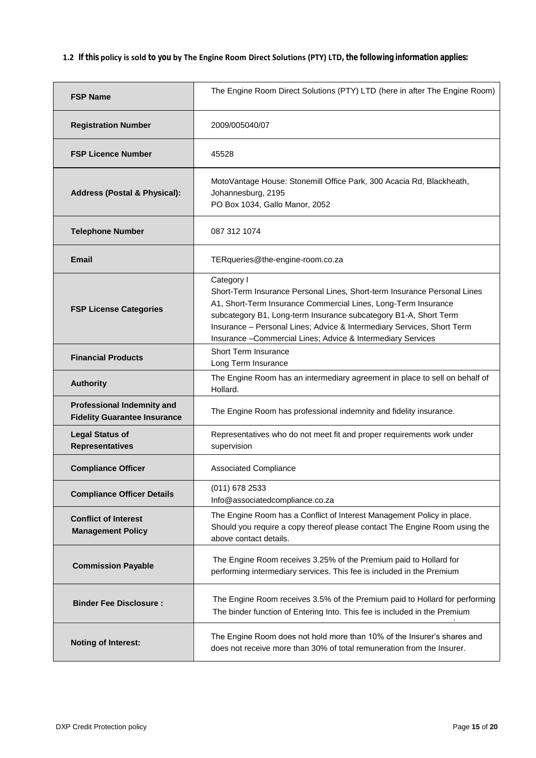**1.2 If this policy is sold to you by The Engine Room Direct Solutions (PTY) LTD, the following information applies:**

| <b>FSP Name</b>                                                          | The Engine Room Direct Solutions (PTY) LTD (here in after The Engine Room)                                                                                                                                                                                                                                                                                             |
|--------------------------------------------------------------------------|------------------------------------------------------------------------------------------------------------------------------------------------------------------------------------------------------------------------------------------------------------------------------------------------------------------------------------------------------------------------|
| <b>Registration Number</b>                                               | 2009/005040/07                                                                                                                                                                                                                                                                                                                                                         |
| <b>FSP Licence Number</b>                                                | 45528                                                                                                                                                                                                                                                                                                                                                                  |
| <b>Address (Postal &amp; Physical):</b>                                  | MotoVantage House: Stonemill Office Park, 300 Acacia Rd, Blackheath,<br>Johannesburg, 2195<br>PO Box 1034, Gallo Manor, 2052                                                                                                                                                                                                                                           |
| <b>Telephone Number</b>                                                  | 087 312 1074                                                                                                                                                                                                                                                                                                                                                           |
| Email                                                                    | TERqueries@the-engine-room.co.za                                                                                                                                                                                                                                                                                                                                       |
| <b>FSP License Categories</b>                                            | Category I<br>Short-Term Insurance Personal Lines, Short-term Insurance Personal Lines<br>A1, Short-Term Insurance Commercial Lines, Long-Term Insurance<br>subcategory B1, Long-term Insurance subcategory B1-A, Short Term<br>Insurance - Personal Lines; Advice & Intermediary Services, Short Term<br>Insurance - Commercial Lines; Advice & Intermediary Services |
| <b>Financial Products</b>                                                | <b>Short Term Insurance</b><br>Long Term Insurance                                                                                                                                                                                                                                                                                                                     |
| <b>Authority</b>                                                         | The Engine Room has an intermediary agreement in place to sell on behalf of<br>Hollard.                                                                                                                                                                                                                                                                                |
| <b>Professional Indemnity and</b><br><b>Fidelity Guarantee Insurance</b> | The Engine Room has professional indemnity and fidelity insurance.                                                                                                                                                                                                                                                                                                     |
| <b>Legal Status of</b><br><b>Representatives</b>                         | Representatives who do not meet fit and proper requirements work under<br>supervision                                                                                                                                                                                                                                                                                  |
| <b>Compliance Officer</b>                                                | <b>Associated Compliance</b>                                                                                                                                                                                                                                                                                                                                           |
| <b>Compliance Officer Details</b>                                        | (011) 678 2533<br>Info@associatedcompliance.co.za                                                                                                                                                                                                                                                                                                                      |
| <b>Conflict of Interest</b><br><b>Management Policy</b>                  | The Engine Room has a Conflict of Interest Management Policy in place.<br>Should you require a copy thereof please contact The Engine Room using the<br>above contact details.                                                                                                                                                                                         |
| <b>Commission Payable</b>                                                | The Engine Room receives 3.25% of the Premium paid to Hollard for<br>performing intermediary services. This fee is included in the Premium                                                                                                                                                                                                                             |
| <b>Binder Fee Disclosure:</b>                                            | The Engine Room receives 3.5% of the Premium paid to Hollard for performing<br>The binder function of Entering Into. This fee is included in the Premium                                                                                                                                                                                                               |
| <b>Noting of Interest:</b>                                               | The Engine Room does not hold more than 10% of the Insurer's shares and<br>does not receive more than 30% of total remuneration from the Insurer.                                                                                                                                                                                                                      |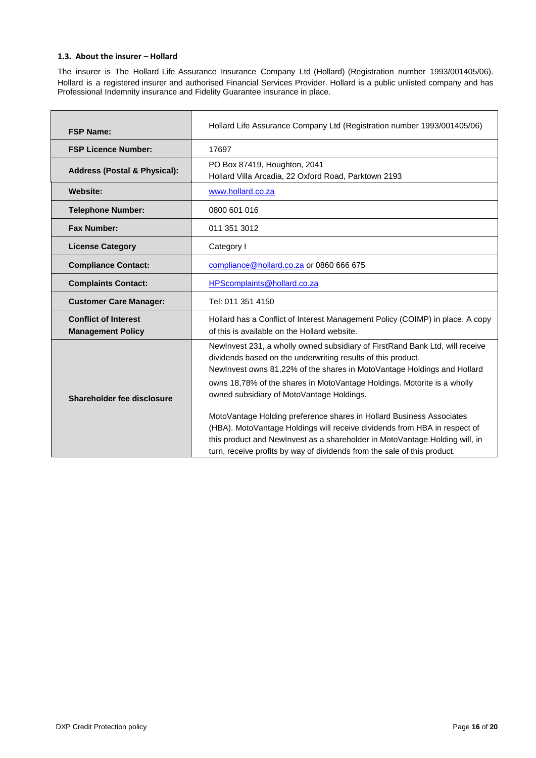#### 1.3. About the insurer - Hollard

The insurer is The Hollard Life Assurance Insurance Company Ltd (Hollard) (Registration number 1993/001405/06). Hollard is a registered insurer and authorised Financial Services Provider. Hollard is a public unlisted company and has Professional Indemnity insurance and Fidelity Guarantee insurance in place.

| <b>FSP Name:</b>                                        | Hollard Life Assurance Company Ltd (Registration number 1993/001405/06)                                                                                                                                                                                                                                                                                                                                                                                                                                                                                                                                                                                         |
|---------------------------------------------------------|-----------------------------------------------------------------------------------------------------------------------------------------------------------------------------------------------------------------------------------------------------------------------------------------------------------------------------------------------------------------------------------------------------------------------------------------------------------------------------------------------------------------------------------------------------------------------------------------------------------------------------------------------------------------|
| <b>FSP Licence Number:</b>                              | 17697                                                                                                                                                                                                                                                                                                                                                                                                                                                                                                                                                                                                                                                           |
| <b>Address (Postal &amp; Physical):</b>                 | PO Box 87419, Houghton, 2041<br>Hollard Villa Arcadia, 22 Oxford Road, Parktown 2193                                                                                                                                                                                                                                                                                                                                                                                                                                                                                                                                                                            |
| <b>Website:</b>                                         | www.hollard.co.za                                                                                                                                                                                                                                                                                                                                                                                                                                                                                                                                                                                                                                               |
| <b>Telephone Number:</b>                                | 0800 601 016                                                                                                                                                                                                                                                                                                                                                                                                                                                                                                                                                                                                                                                    |
| <b>Fax Number:</b>                                      | 011 351 3012                                                                                                                                                                                                                                                                                                                                                                                                                                                                                                                                                                                                                                                    |
| <b>License Category</b>                                 | Category I                                                                                                                                                                                                                                                                                                                                                                                                                                                                                                                                                                                                                                                      |
| <b>Compliance Contact:</b>                              | compliance@hollard.co.za or 0860 666 675                                                                                                                                                                                                                                                                                                                                                                                                                                                                                                                                                                                                                        |
| <b>Complaints Contact:</b>                              | HPScomplaints@hollard.co.za                                                                                                                                                                                                                                                                                                                                                                                                                                                                                                                                                                                                                                     |
| <b>Customer Care Manager:</b>                           | Tel: 011 351 4150                                                                                                                                                                                                                                                                                                                                                                                                                                                                                                                                                                                                                                               |
| <b>Conflict of Interest</b><br><b>Management Policy</b> | Hollard has a Conflict of Interest Management Policy (COIMP) in place. A copy<br>of this is available on the Hollard website.                                                                                                                                                                                                                                                                                                                                                                                                                                                                                                                                   |
| Shareholder fee disclosure                              | Newlnvest 231, a wholly owned subsidiary of FirstRand Bank Ltd, will receive<br>dividends based on the underwriting results of this product.<br>Newlnvest owns 81,22% of the shares in MotoVantage Holdings and Hollard<br>owns 18,78% of the shares in MotoVantage Holdings. Motorite is a wholly<br>owned subsidiary of MotoVantage Holdings.<br>MotoVantage Holding preference shares in Hollard Business Associates<br>(HBA). MotoVantage Holdings will receive dividends from HBA in respect of<br>this product and NewInvest as a shareholder in MotoVantage Holding will, in<br>turn, receive profits by way of dividends from the sale of this product. |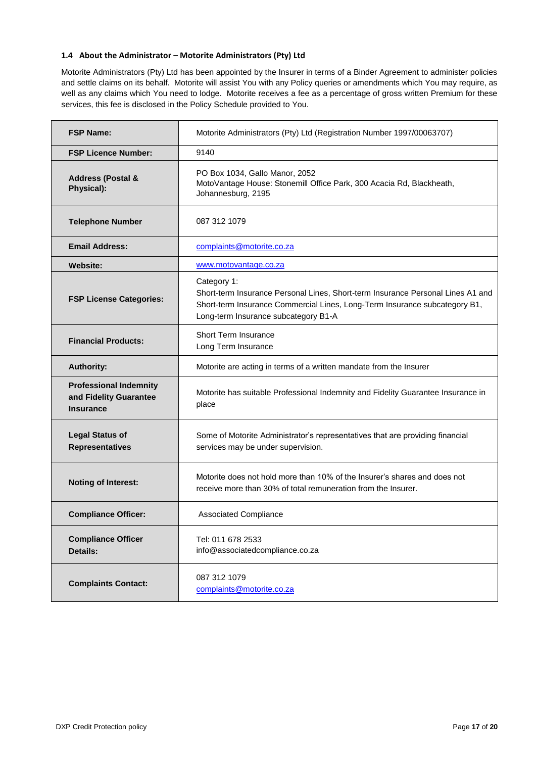#### **1.4 About the Administrator – Motori[te Administrators \(P](http://www.hollard.co.za/)ty) Ltd**

Motorite Administrators (Pty) Ltd has been appointed by the Insurer in terms of a Binder Agreement to administer policies and settle claims on its behalf. Motorite will assist You with any Policy queries or amendments which You may require, as well as any claims which You need to lodge. Motorite receives a fee as a percentage of gross written Premium for these services, this fee is disclosed in the Policy Schedule provided to You.

| <b>FSP Name:</b>                                                            | Motorite Administrators (Pty) Ltd (Registration Number 1997/00063707)                                                                                                                                                |
|-----------------------------------------------------------------------------|----------------------------------------------------------------------------------------------------------------------------------------------------------------------------------------------------------------------|
| <b>FSP Licence Number:</b>                                                  | 9140                                                                                                                                                                                                                 |
| <b>Address (Postal &amp;</b><br>Physical):                                  | PO Box 1034, Gallo Manor, 2052<br>MotoVantage House: Stonemill Office Park, 300 Acacia Rd, Blackheath,<br>Johannesburg, 2195                                                                                         |
| <b>Telephone Number</b>                                                     | 087 312 1079                                                                                                                                                                                                         |
| <b>Email Address:</b>                                                       | complaints@motorite.co.za                                                                                                                                                                                            |
| <b>Website:</b>                                                             | www.motovantage.co.za                                                                                                                                                                                                |
| <b>FSP License Categories:</b>                                              | Category 1:<br>Short-term Insurance Personal Lines, Short-term Insurance Personal Lines A1 and<br>Short-term Insurance Commercial Lines, Long-Term Insurance subcategory B1,<br>Long-term Insurance subcategory B1-A |
| <b>Financial Products:</b>                                                  | <b>Short Term Insurance</b><br>Long Term Insurance                                                                                                                                                                   |
| <b>Authority:</b>                                                           | Motorite are acting in terms of a written mandate from the Insurer                                                                                                                                                   |
| <b>Professional Indemnity</b><br>and Fidelity Guarantee<br><b>Insurance</b> | Motorite has suitable Professional Indemnity and Fidelity Guarantee Insurance in<br>place                                                                                                                            |
| <b>Legal Status of</b><br><b>Representatives</b>                            | Some of Motorite Administrator's representatives that are providing financial<br>services may be under supervision.                                                                                                  |
| <b>Noting of Interest:</b>                                                  | Motorite does not hold more than 10% of the Insurer's shares and does not<br>receive more than 30% of total remuneration from the Insurer.                                                                           |
| <b>Compliance Officer:</b>                                                  | <b>Associated Compliance</b>                                                                                                                                                                                         |
| <b>Compliance Officer</b><br>Details:                                       | Tel: 011 678 2533<br>info@associatedcompliance.co.za                                                                                                                                                                 |
| <b>Complaints Contact:</b>                                                  | 087 312 1079<br>complaints@motorite.co.za                                                                                                                                                                            |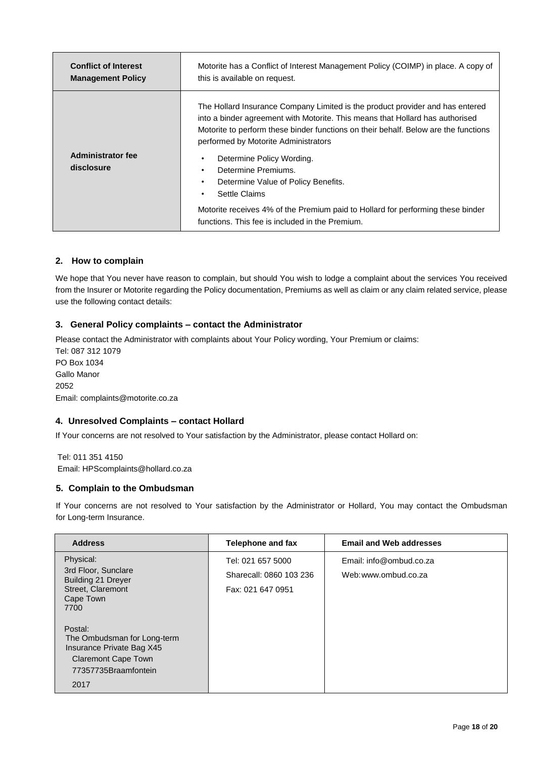| <b>Conflict of Interest</b>            | Motorite has a Conflict of Interest Management Policy (COIMP) in place. A copy of                                                                                                                                                                                                                                                                                                                                                                                                                                                                                   |
|----------------------------------------|---------------------------------------------------------------------------------------------------------------------------------------------------------------------------------------------------------------------------------------------------------------------------------------------------------------------------------------------------------------------------------------------------------------------------------------------------------------------------------------------------------------------------------------------------------------------|
| <b>Management Policy</b>               | this is available on request.                                                                                                                                                                                                                                                                                                                                                                                                                                                                                                                                       |
| <b>Administrator fee</b><br>disclosure | The Hollard Insurance Company Limited is the product provider and has entered<br>into a binder agreement with Motorite. This means that Hollard has authorised<br>Motorite to perform these binder functions on their behalf. Below are the functions<br>performed by Motorite Administrators<br>Determine Policy Wording.<br>٠<br>Determine Premiums.<br>٠<br>Determine Value of Policy Benefits.<br>٠<br>Settle Claims<br>٠<br>Motorite receives 4% of the Premium paid to Hollard for performing these binder<br>functions. This fee is included in the Premium. |

#### **2. How to complain**

We hope that You never have reason [to complain, but should You](mailto:complaints@motorite.co.za) wish to lodge a complaint about the services You received from the Insurer or Motorite regarding the Policy documentation, Premiums as well as claim or any claim related service, please use the following contact details:

#### **3. General Policy complaints – contact the Administrator**

Please contact the Administrator with complaints about Your Policy wording, Your Premium or claims: Tel: 087 312 1079 PO Box 1034 Gallo Manor 2052 Email: complaints@motorite.co.za

#### **4. Unresolved Complaints – contact Hollard**

If Your concerns are not resolved to Your satisfaction by the Administrator, please contact Hollard on:

Tel: 011 351 4150

Email: HPScomplaints@hollard.co.za

#### **5. Complain to the Ombudsman**

If Your concerns are not resolved to Your satisfaction by the Administrator or Hollard, You may contact the Ombudsman for Long-term Insurance.

| <b>Address</b>                                                                                                                            | Telephone and fax                                                 | <b>Email and Web addresses</b>                  |
|-------------------------------------------------------------------------------------------------------------------------------------------|-------------------------------------------------------------------|-------------------------------------------------|
| Physical:<br>3rd Floor, Sunclare<br><b>Building 21 Dreyer</b><br>Street, Claremont<br>Cape Town                                           | Tel: 021 657 5000<br>Sharecall: 0860 103 236<br>Fax: 021 647 0951 | Email: info@ombud.co.za<br>Web: www.ombud.co.za |
| 7700<br>Postal:<br>The Ombudsman for Long-term<br>Insurance Private Bag X45<br><b>Claremont Cape Town</b><br>77357735Braamfontein<br>2017 |                                                                   |                                                 |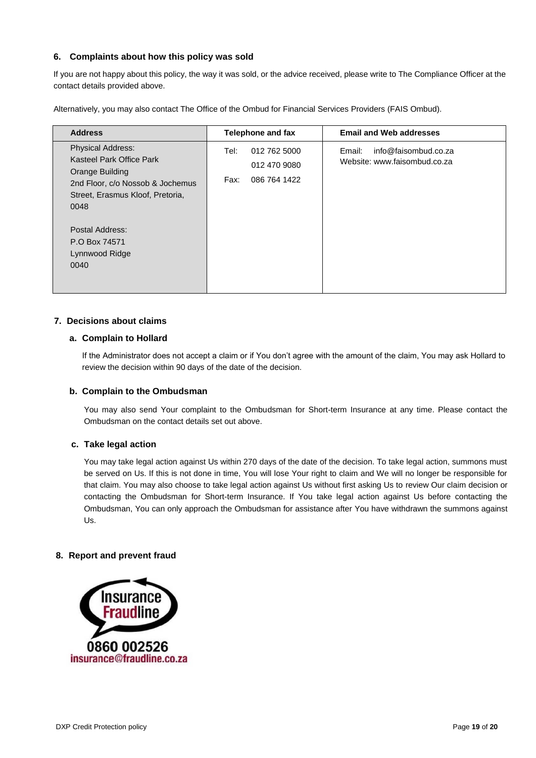#### **6. Complaints about how this policy was sold**

If y[ou are not happy about this policy](mailto:HPScomplaints@hollard.co.za), the way it was sold, or the advice received, please write to The Compliance Officer at the contact details provided above.

Alternatively, you may also contact The Office of the Ombud for Financial Services Providers (FAIS Ombud).

| <b>Address</b>                                                                                                                                                                                                        | <b>Telephone and fax</b>                                     | <b>Email and Web addresses</b>                                 |
|-----------------------------------------------------------------------------------------------------------------------------------------------------------------------------------------------------------------------|--------------------------------------------------------------|----------------------------------------------------------------|
| <b>Physical Address:</b><br>Kasteel Park Office Park<br>Orange Building<br>2nd Floor, c/o Nossob & Jochemus<br>Street, Erasmus Kloof, Pretoria,<br>0048<br>Postal Address:<br>P.O Box 74571<br>Lynnwood Ridge<br>0040 | 012 762 5000<br>Tel:<br>012 470 9080<br>086 764 1422<br>Fax: | info@faisombud.co.za<br>Email:<br>Website: www.faisombud.co.za |

#### **7. Decisions about claims**

#### **a. Complain to Hollard**

If the Administrator does not accept a claim or if You don't agree with the amount of the claim, You may ask Hollard to review the decision within 90 days of the date of the decision.

#### **b. Complain to the Ombudsman**

You may also send Your complaint to the Ombudsman for Short-term Insurance at any time. Please contact the Ombudsman on the contact details set out above.

#### **c. Take legal action**

You may take legal action against Us within 270 days of the date of the decision. To take legal action, summons must be served on Us. If this is not done in time, You will lose Your right to claim and We will no longer be responsible for that claim. You may also choose to take legal action against Us without first asking Us to review Our claim decision or contacting the Ombudsman for Short-term Insurance. If You take legal action against Us before contacting the Ombudsman, You can only approach the Ombudsman for assistance after You have withdrawn the summons against Us.

#### **8. Report and prevent fraud**